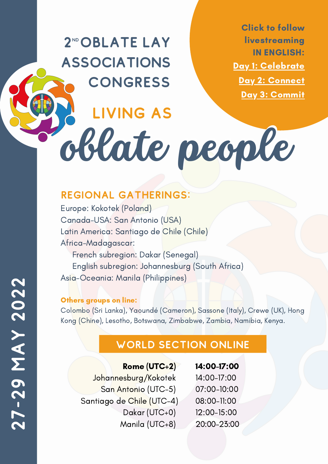2<sup>ND</sup> OBLATE LAY **ASSOCIATIONS CONGRESS** 

Living as

Click to follow livestreaming IN ENGLISH: Day 1: [Celebrate](https://youtu.be/vty6DNeYHjc) Day 2: [Connect](https://youtu.be/WuHoJCj5qfU) Day 3: [Commit](https://youtu.be/BxcI2YAPHTU)

oblate people

### Regional Gatherings:

Europe: Kokotek (Poland) Canada-USA: San Antonio (USA) Latin America: Santiago de Chile (Chile) Africa-Madagascar: French subregion: Dakar (Senegal) English subregion: Johannesburg (South Africa) Asia-Oceania: Manila (Philippines)

### Others groups on line:

Colombo (Sri Lanka), Yaoundé (Cameron), Sassone (Italy), Crewe (UK), Hong Kong (Chine), Lesotho, Botswana, Zimbabwe, Zambia, Namibia, Kenya.

## World section online

| Rome (UTC+2)              | 14:00-17:00 |
|---------------------------|-------------|
| Johannesburg/Kokotek      | 14:00-17:00 |
| San Antonio (UTC-5)       | 07:00-10:00 |
| Santiago de Chile (UTC-4) | 08:00-11:00 |
| Dakar (UTC+0)             | 12:00-15:00 |
| Manila (UTC+8)            | 20:00-23:00 |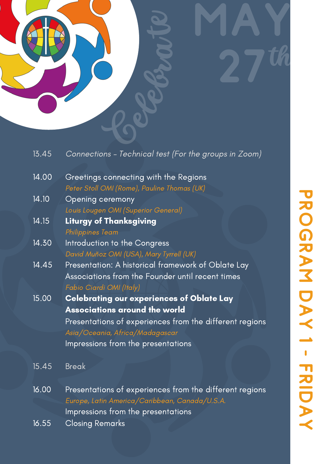

Connections – Technical test (For the groups in Zoom) Greetings connecting with the Regions Peter Stoll OMI (Rome), Pauline Thomas (UK) Opening ceremony Louis Lougen OMI (Superior General) Liturgy of Thanksgiving Philippines Team Introduction to the Congress David Muñoz OMI (USA), Mary Tyrrell (UK) Presentation: A historical framework of Oblate Lay Associations from the Founder until recent times Fabio Ciardi OMI (Italy) Celebrating our experiences of Oblate Lay Associations around the world Presentations of experiences from the different regions Asia/Oceania, Africa/Madagascar Impressions from the presentations 13.45 14.00 14.10 14.15 14.30 14.45 15.00

- Break 15.45
- Presentations of experiences from the different regions Europe, Latin America/Caribbean, Canada/U.S.A. Impressions from the presentations 16.00
- Closing Remarks 16.55

th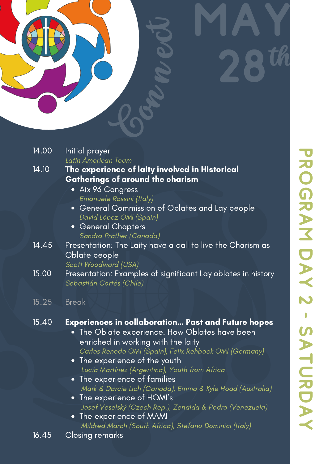# Con ne B MAY 28 th

| 14.00              | Initial prayer<br>Latin American Team                                                                                                                                                                                                                                                                                                                                                                                                                                                                                                                                                          |
|--------------------|------------------------------------------------------------------------------------------------------------------------------------------------------------------------------------------------------------------------------------------------------------------------------------------------------------------------------------------------------------------------------------------------------------------------------------------------------------------------------------------------------------------------------------------------------------------------------------------------|
| 14.10              | The experience of laity involved in Historical<br>Gatherings of around the charism<br>• Aix 96 Congress<br>Emanuele Rossini (Italy)<br>General Commission of Oblates and Lay people<br>David López OMI (Spain)<br><b>General Chapters</b><br>$\bullet$<br>Sandra Prather (Canada)                                                                                                                                                                                                                                                                                                              |
| 14.45              | Presentation: The Laity have a call to live the Charism as<br>Oblate people<br>Scott Woodward (USA)                                                                                                                                                                                                                                                                                                                                                                                                                                                                                            |
| $\overline{15.00}$ | Presentation: Examples of significant Lay oblates in history<br>Sebastián Cortés (Chile)                                                                                                                                                                                                                                                                                                                                                                                                                                                                                                       |
| 15.25              | <b>Break</b>                                                                                                                                                                                                                                                                                                                                                                                                                                                                                                                                                                                   |
| 15.40              | <b>Experiences in collaboration Past and Future hopes</b><br>The Oblate experience. How Oblates have been<br>$\bullet$<br>enriched in working with the laity<br>Carlos Renedo OMI (Spain), Felix Rehbock OMI (Germany)<br>• The experience of the youth<br>Lucía Martínez (Argentina), Youth from Africa<br>The experience of families<br>$\bullet$<br>Mark & Darcie Lich (Canada), Emma & Kyle Hoad (Australia)<br>• The experience of HOMI's<br>Josef Veselský (Czech Rep.), Zenaida & Pedro (Venezuela)<br>The experience of MAMI<br>Mildred March (South Africa), Stefano Dominici (Italy) |
| 16.45              | Closing remarks                                                                                                                                                                                                                                                                                                                                                                                                                                                                                                                                                                                |